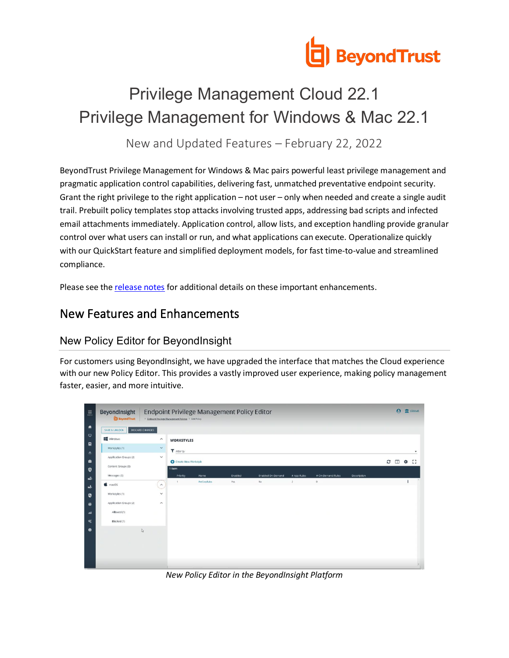

# Privilege Management Cloud 22.1 Privilege Management for Windows & Mac 22.1

New and Updated Features – February 22, 2022

BeyondTrust Privilege Management for Windows & Mac pairs powerful least privilege management and pragmatic application control capabilities, delivering fast, unmatched preventative endpoint security. Grant the right privilege to the right application – not user – only when needed and create a single audit trail. Prebuilt policy templates stop attacks involving trusted apps, addressing bad scripts and infected email attachments immediately. Application control, allow lists, and exception handling provide granular control over what users can install or run, and what applications can execute. Operationalize quickly with our QuickStart feature and simplified deployment models, for fast time-to-value and streamlined compliance.

Please see the [release notes](https://www.beyondtrust.com/docs/release-notes/privilege-management/index.htm) for additional details on these important enhancements.

## New Features and Enhancements

#### New Policy Editor for BeyondInsight

For customers using BeyondInsight, we have upgraded the interface that matches the Cloud experience with our new Policy Editor. This provides a vastly improved user experience, making policy management faster, easier, and more intuitive.



*New Policy Editor in the BeyondInsight Platform*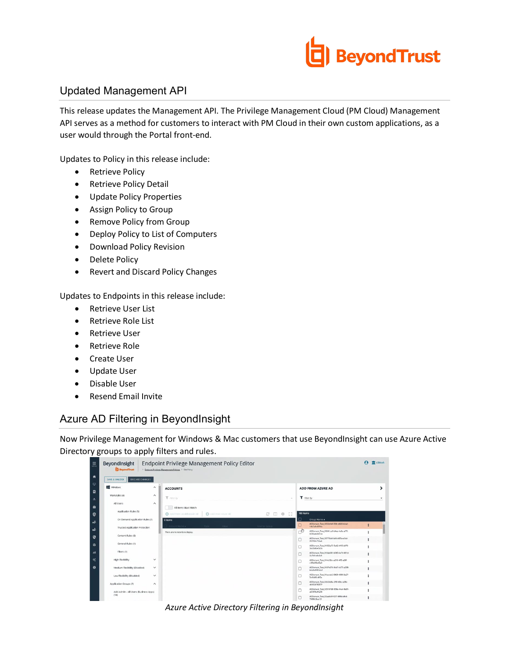

#### Updated Management API

This release updates the Management API. The Privilege Management Cloud (PM Cloud) Management API serves as a method for customers to interact with PM Cloud in their own custom applications, as a user would through the Portal front-end.

Updates to Policy in this release include:

- Retrieve Policy
- Retrieve Policy Detail
- Update Policy Properties
- Assign Policy to Group
- Remove Policy from Group
- Deploy Policy to List of Computers
- Download Policy Revision
- Delete Policy
- Revert and Discard Policy Changes

Updates to Endpoints in this release include:

- Retrieve User List
- Retrieve Role List
- Retrieve User
- Retrieve Role
- Create User
- Update User
- Disable User
- Resend Email Invite

#### Azure AD Filtering in BeyondInsight

Now Privilege Management for Windows & Mac customers that use BeyondInsight can use Azure Active Directory groups to apply filters and rules.

| Endpoint Privilege Management Policy Editor<br>BeyondInsight<br><b>BeyondTrust</b><br>> Endsoint Privilege Management Policies > Edit Policy |                     |                                  |                       |                                                              |           |                                                           | $\boldsymbol{\Omega}$<br>TIT (Global) |  |
|----------------------------------------------------------------------------------------------------------------------------------------------|---------------------|----------------------------------|-----------------------|--------------------------------------------------------------|-----------|-----------------------------------------------------------|---------------------------------------|--|
| DISCARD CHANGES<br>SAVE & UNLOCK                                                                                                             |                     |                                  |                       |                                                              |           |                                                           |                                       |  |
| Windows                                                                                                                                      | $\wedge$            | <b>ACCOUNTS</b>                  |                       |                                                              |           | <b>ADD FROM AZURE AD</b>                                  |                                       |  |
| Workstyles (4)                                                                                                                               | $\hat{\phantom{a}}$ | T neerby                         |                       |                                                              | $\sim$    | T Fiter by                                                |                                       |  |
| All Users                                                                                                                                    | $\hat{\phantom{a}}$ | All Items Must Match             |                       |                                                              |           |                                                           |                                       |  |
| Application Rules (5)                                                                                                                        |                     | C Add From Local/Domain AD       | Add From Azure AD     | -53<br>$\circ$ $\Box$<br>$\frac{d^2\mathbf{p}}{d\mathbf{p}}$ | 100 items |                                                           |                                       |  |
| On Demand Application Rules (1)                                                                                                              |                     | 0 items                          |                       |                                                              | П         | Group Name A                                              |                                       |  |
| Trusted Application Protection                                                                                                               |                     | <b>GISC HATOL 4</b>              | <b>Value</b><br>Turin | User or Group                                                | $\Box$    | ADDomain_Test_0052bfeB-358c-4820-b3a3-<br>1867a0c6516c    |                                       |  |
|                                                                                                                                              |                     | There are no records to display. |                       |                                                              | ď         | ADDomain_Test_00641caB-b4ee-4a0a-af76-<br>0280a4e0b5ce    |                                       |  |
| Content Rules (0)                                                                                                                            |                     |                                  |                       |                                                              | c         | ADDomain_Test 00773b4f-b4fd-405a-a3cd-<br>2f3743c714a6    |                                       |  |
| General Rules (1)                                                                                                                            |                     |                                  |                       |                                                              | c         | ADDomain. Test. 01032a73-5e62-4f15-6870-<br>3dd3b8b45d5c  |                                       |  |
| Filters (9)                                                                                                                                  |                     |                                  |                       |                                                              | c         | ADDomain Test 010ab061-b383-4e7d-961d-<br>2a7fd1e4c6cR    |                                       |  |
| <b>High Flexibility</b>                                                                                                                      | $\checkmark$        |                                  |                       |                                                              | C         | ADDomain_Test_014c63bc-a210-4ff5-a28f-<br>c2f0e95b45a3    |                                       |  |
| Medium Flexibility (Disabled)                                                                                                                | $\checkmark$        |                                  |                       |                                                              | C         | ADDomain_Test_0167e074-9cb7-4d75-a208-<br>b6a9e0802da3    |                                       |  |
| Low Flexibility (Disabled)                                                                                                                   | $\checkmark$        |                                  |                       |                                                              | с         | ADDomain. Test. 01 ecceb2-9869-4988-9e27-<br>Sedfa@6ed45a |                                       |  |
| Application Groups (7)                                                                                                                       | $\hat{\phantom{a}}$ |                                  |                       |                                                              | $\Box$    | ADDomain.Test.02424d6a-2f6f-43bc-a38c-<br>464526762677    |                                       |  |
| Add Admin - All Users (Business Apps)                                                                                                        |                     |                                  |                       |                                                              | C         | ADDomain_Test_025197d8-058e-44e4-8e91-<br>a92959af1a36    |                                       |  |
| (14)                                                                                                                                         |                     |                                  |                       |                                                              | c         | ADDomain_Test_02aa6c6f-f207-488b-bfbd-<br>70/08/36a121    |                                       |  |

*Azure Active Directory Filtering in BeyondInsight*